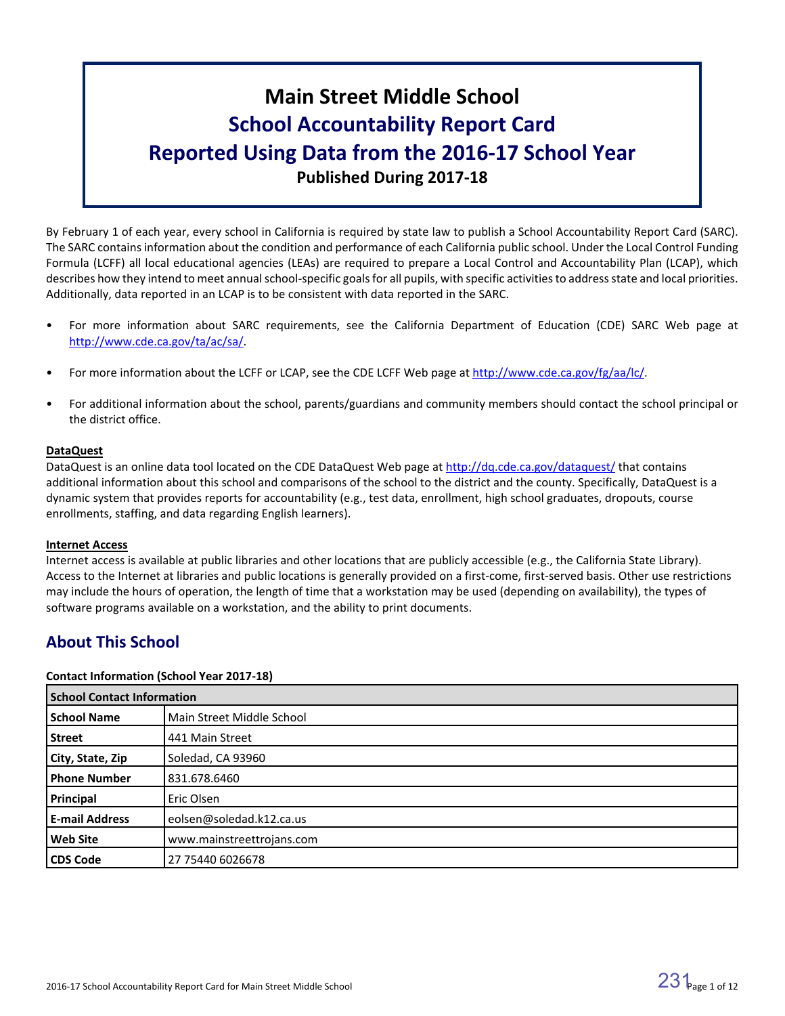# **Main Street Middle School School Accountability Report Card Reported Using Data from the 2016-17 School Year Published During 2017-18**

By February 1 of each year, every school in California is required by state law to publish a School Accountability Report Card (SARC). The SARC contains information about the condition and performance of each California public school. Under the Local Control Funding Formula (LCFF) all local educational agencies (LEAs) are required to prepare a Local Control and Accountability Plan (LCAP), which describes how they intend to meet annual school-specific goals for all pupils, with specific activities to address state and local priorities. Additionally, data reported in an LCAP is to be consistent with data reported in the SARC.

- For more information about SARC requirements, see the California Department of Education (CDE) SARC Web page at [http://www.cde.ca.gov/ta/ac/sa/.](http://www.cde.ca.gov/ta/ac/sa/)
- For more information about the LCFF or LCAP, see the CDE LCFF Web page at [http://www.cde.ca.gov/fg/aa/lc/.](http://www.cde.ca.gov/fg/aa/lc/)
- For additional information about the school, parents/guardians and community members should contact the school principal or the district office.

#### **DataQuest**

DataQuest is an online data tool located on the CDE DataQuest Web page at <http://dq.cde.ca.gov/dataquest/> that contains additional information about this school and comparisons of the school to the district and the county. Specifically, DataQuest is a dynamic system that provides reports for accountability (e.g., test data, enrollment, high school graduates, dropouts, course enrollments, staffing, and data regarding English learners).

#### **Internet Access**

Internet access is available at public libraries and other locations that are publicly accessible (e.g., the California State Library). Access to the Internet at libraries and public locations is generally provided on a first-come, first-served basis. Other use restrictions may include the hours of operation, the length of time that a workstation may be used (depending on availability), the types of software programs available on a workstation, and the ability to print documents.

# **About This School**

#### **Contact Information (School Year 2017-18)**

| <b>School Contact Information</b> |                           |  |  |  |
|-----------------------------------|---------------------------|--|--|--|
| <b>School Name</b>                | Main Street Middle School |  |  |  |
| <b>Street</b>                     | 441 Main Street           |  |  |  |
| City, State, Zip                  | Soledad, CA 93960         |  |  |  |
| <b>Phone Number</b>               | 831.678.6460              |  |  |  |
| Principal                         | Eric Olsen                |  |  |  |
| <b>E-mail Address</b>             | eolsen@soledad.k12.ca.us  |  |  |  |
| <b>Web Site</b>                   | www.mainstreettrojans.com |  |  |  |
| <b>CDS Code</b>                   | 27 75440 6026678          |  |  |  |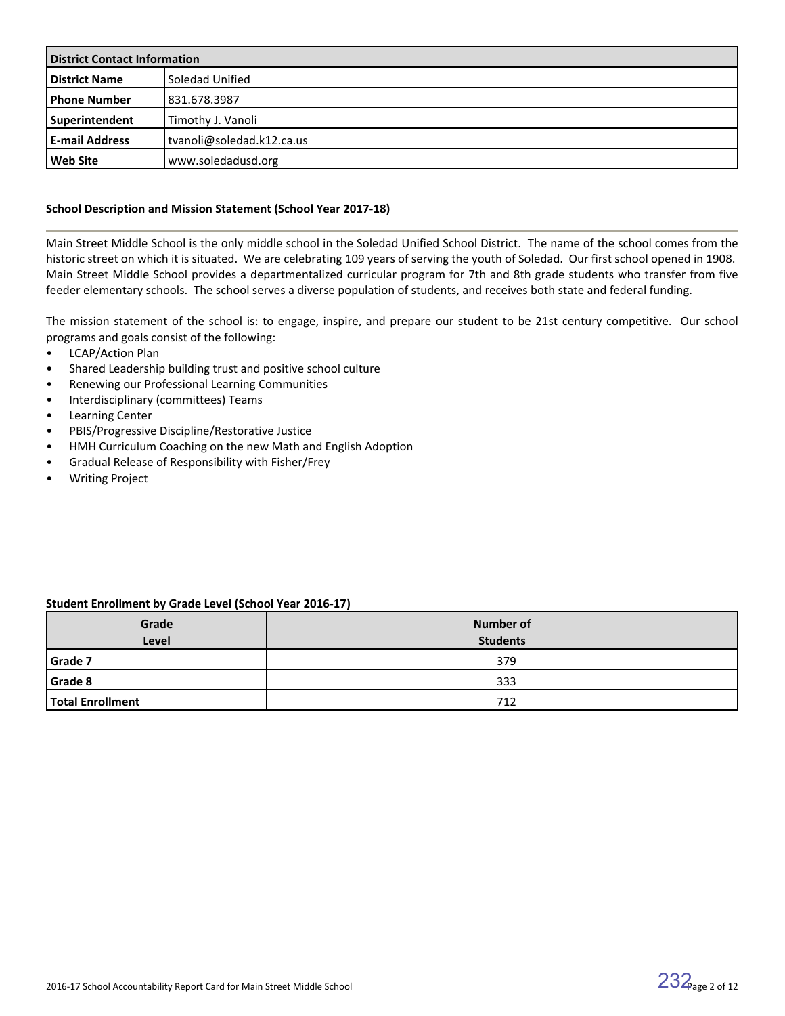| <b>District Contact Information</b> |                           |  |  |
|-------------------------------------|---------------------------|--|--|
| <b>District Name</b>                | Soledad Unified           |  |  |
| l Phone Number                      | 831.678.3987              |  |  |
| Superintendent                      | Timothy J. Vanoli         |  |  |
| <b>E-mail Address</b>               | tvanoli@soledad.k12.ca.us |  |  |
| l Web Site                          | www.soledadusd.org        |  |  |

#### **School Description and Mission Statement (School Year 2017-18)**

Main Street Middle School is the only middle school in the Soledad Unified School District. The name of the school comes from the historic street on which it is situated. We are celebrating 109 years of serving the youth of Soledad. Our first school opened in 1908. Main Street Middle School provides a departmentalized curricular program for 7th and 8th grade students who transfer from five feeder elementary schools. The school serves a diverse population of students, and receives both state and federal funding.

The mission statement of the school is: to engage, inspire, and prepare our student to be 21st century competitive. Our school programs and goals consist of the following:

- LCAP/Action Plan
- Shared Leadership building trust and positive school culture
- Renewing our Professional Learning Communities
- Interdisciplinary (committees) Teams
- Learning Center
- PBIS/Progressive Discipline/Restorative Justice
- HMH Curriculum Coaching on the new Math and English Adoption
- Gradual Release of Responsibility with Fisher/Frey
- Writing Project

#### **Student Enrollment by Grade Level (School Year 2016-17)**

| Grade            | <b>Number of</b> |
|------------------|------------------|
| Level            | <b>Students</b>  |
| Grade 7          | 379              |
| <b>Grade 8</b>   | 333              |
| Total Enrollment | 712              |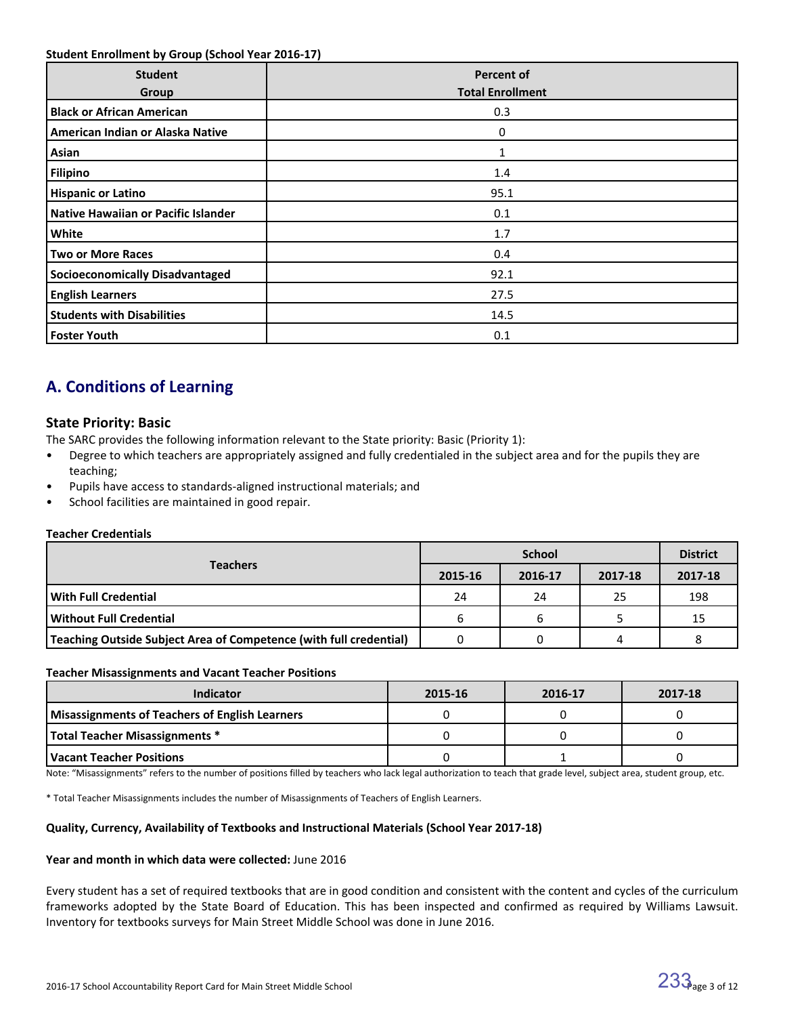#### **Student Enrollment by Group (School Year 2016-17)**

| <b>Student</b><br>Group                | <b>Percent of</b><br><b>Total Enrollment</b> |
|----------------------------------------|----------------------------------------------|
| <b>Black or African American</b>       | 0.3                                          |
| American Indian or Alaska Native       | 0                                            |
| Asian                                  | 1                                            |
| <b>Filipino</b>                        | 1.4                                          |
| <b>Hispanic or Latino</b>              | 95.1                                         |
| Native Hawaiian or Pacific Islander    | 0.1                                          |
| White                                  | 1.7                                          |
| <b>Two or More Races</b>               | 0.4                                          |
| <b>Socioeconomically Disadvantaged</b> | 92.1                                         |
| <b>English Learners</b>                | 27.5                                         |
| <b>Students with Disabilities</b>      | 14.5                                         |
| <b>Foster Youth</b>                    | 0.1                                          |

# **A. Conditions of Learning**

### **State Priority: Basic**

The SARC provides the following information relevant to the State priority: Basic (Priority 1):

- Degree to which teachers are appropriately assigned and fully credentialed in the subject area and for the pupils they are teaching;
- Pupils have access to standards-aligned instructional materials; and
- School facilities are maintained in good repair.

#### **Teacher Credentials**

|                                                                           |         | <b>District</b> |         |         |
|---------------------------------------------------------------------------|---------|-----------------|---------|---------|
| <b>Teachers</b>                                                           | 2015-16 | 2016-17         | 2017-18 | 2017-18 |
| l With Full Credential                                                    | 24      | 24              | 25      | 198     |
| l Without Full Credential                                                 | b       |                 |         | 15      |
| <b>Teaching Outside Subject Area of Competence (with full credential)</b> |         |                 | 4       |         |

#### **Teacher Misassignments and Vacant Teacher Positions**

| <b>Indicator</b>                               | 2015-16 | 2016-17 | 2017-18 |
|------------------------------------------------|---------|---------|---------|
| Misassignments of Teachers of English Learners |         |         |         |
| Total Teacher Misassignments *                 |         |         |         |
| l Vacant Teacher Positions                     |         |         |         |

Note: "Misassignments" refers to the number of positions filled by teachers who lack legal authorization to teach that grade level, subject area, student group, etc.

\* Total Teacher Misassignments includes the number of Misassignments of Teachers of English Learners.

#### **Quality, Currency, Availability of Textbooks and Instructional Materials (School Year 2017-18)**

#### **Year and month in which data were collected:** June 2016

Every student has a set of required textbooks that are in good condition and consistent with the content and cycles of the curriculum frameworks adopted by the State Board of Education. This has been inspected and confirmed as required by Williams Lawsuit. Inventory for textbooks surveys for Main Street Middle School was done in June 2016.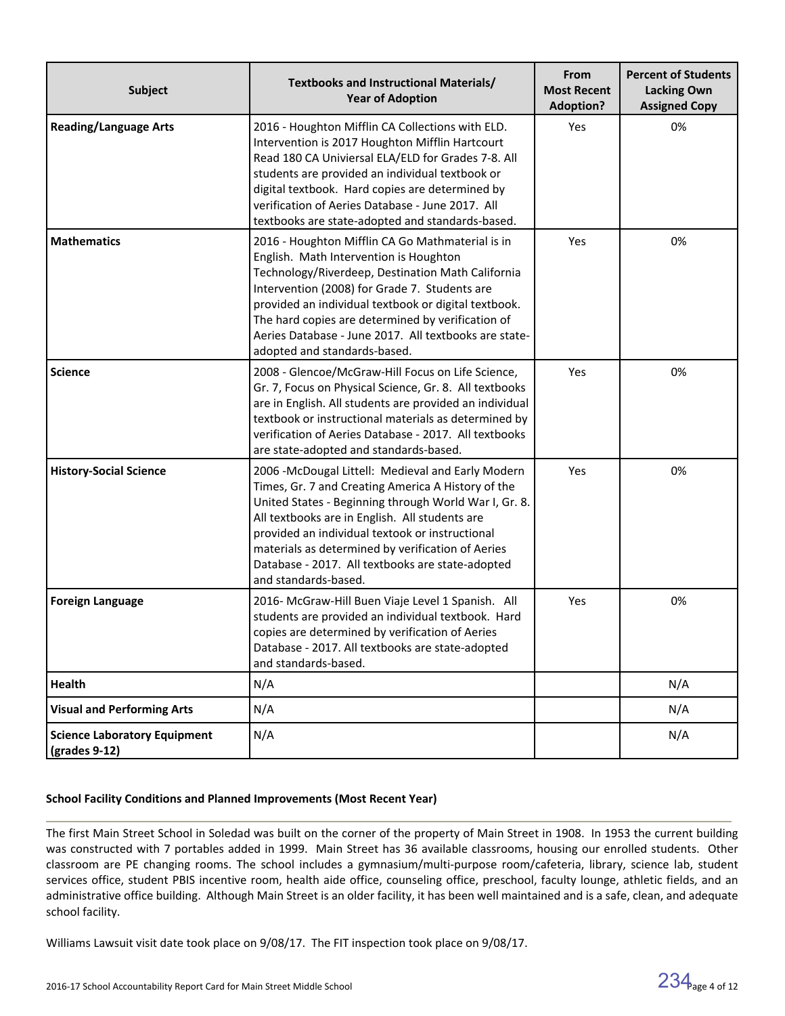| <b>Subject</b>                                                        | Textbooks and Instructional Materials/<br><b>Year of Adoption</b>                                                                                                                                                                                                                                                                                                                                       | From<br><b>Most Recent</b><br><b>Adoption?</b> | <b>Percent of Students</b><br><b>Lacking Own</b><br><b>Assigned Copy</b> |
|-----------------------------------------------------------------------|---------------------------------------------------------------------------------------------------------------------------------------------------------------------------------------------------------------------------------------------------------------------------------------------------------------------------------------------------------------------------------------------------------|------------------------------------------------|--------------------------------------------------------------------------|
| <b>Reading/Language Arts</b>                                          | 2016 - Houghton Mifflin CA Collections with ELD.<br>Intervention is 2017 Houghton Mifflin Hartcourt<br>Read 180 CA Univiersal ELA/ELD for Grades 7-8. All<br>students are provided an individual textbook or<br>digital textbook. Hard copies are determined by<br>verification of Aeries Database - June 2017. All<br>textbooks are state-adopted and standards-based.                                 | Yes                                            | 0%                                                                       |
| <b>Mathematics</b>                                                    | 2016 - Houghton Mifflin CA Go Mathmaterial is in<br>English. Math Intervention is Houghton<br>Technology/Riverdeep, Destination Math California<br>Intervention (2008) for Grade 7. Students are<br>provided an individual textbook or digital textbook.<br>The hard copies are determined by verification of<br>Aeries Database - June 2017. All textbooks are state-<br>adopted and standards-based.  | Yes                                            | 0%                                                                       |
| <b>Science</b>                                                        | 2008 - Glencoe/McGraw-Hill Focus on Life Science,<br>Gr. 7, Focus on Physical Science, Gr. 8. All textbooks<br>are in English. All students are provided an individual<br>textbook or instructional materials as determined by<br>verification of Aeries Database - 2017. All textbooks<br>are state-adopted and standards-based.                                                                       | Yes                                            | 0%                                                                       |
| <b>History-Social Science</b>                                         | 2006 - McDougal Littell: Medieval and Early Modern<br>Times, Gr. 7 and Creating America A History of the<br>United States - Beginning through World War I, Gr. 8.<br>All textbooks are in English. All students are<br>provided an individual textook or instructional<br>materials as determined by verification of Aeries<br>Database - 2017. All textbooks are state-adopted<br>and standards-based. | Yes                                            | 0%                                                                       |
| <b>Foreign Language</b>                                               | 2016- McGraw-Hill Buen Viaje Level 1 Spanish. All<br>students are provided an individual textbook. Hard<br>copies are determined by verification of Aeries<br>Database - 2017. All textbooks are state-adopted<br>and standards-based.                                                                                                                                                                  | Yes                                            | 0%                                                                       |
| <b>Health</b>                                                         | N/A                                                                                                                                                                                                                                                                                                                                                                                                     |                                                | N/A                                                                      |
| <b>Visual and Performing Arts</b>                                     | N/A                                                                                                                                                                                                                                                                                                                                                                                                     |                                                | N/A                                                                      |
| <b>Science Laboratory Equipment</b><br>$\left($ grades 9-12 $\right)$ | N/A                                                                                                                                                                                                                                                                                                                                                                                                     |                                                | N/A                                                                      |

#### **School Facility Conditions and Planned Improvements (Most Recent Year)**

The first Main Street School in Soledad was built on the corner of the property of Main Street in 1908. In 1953 the current building was constructed with 7 portables added in 1999. Main Street has 36 available classrooms, housing our enrolled students. Other classroom are PE changing rooms. The school includes a gymnasium/multi-purpose room/cafeteria, library, science lab, student services office, student PBIS incentive room, health aide office, counseling office, preschool, faculty lounge, athletic fields, and an administrative office building. Although Main Street is an older facility, it has been well maintained and is a safe, clean, and adequate school facility.

Williams Lawsuit visit date took place on 9/08/17. The FIT inspection took place on 9/08/17.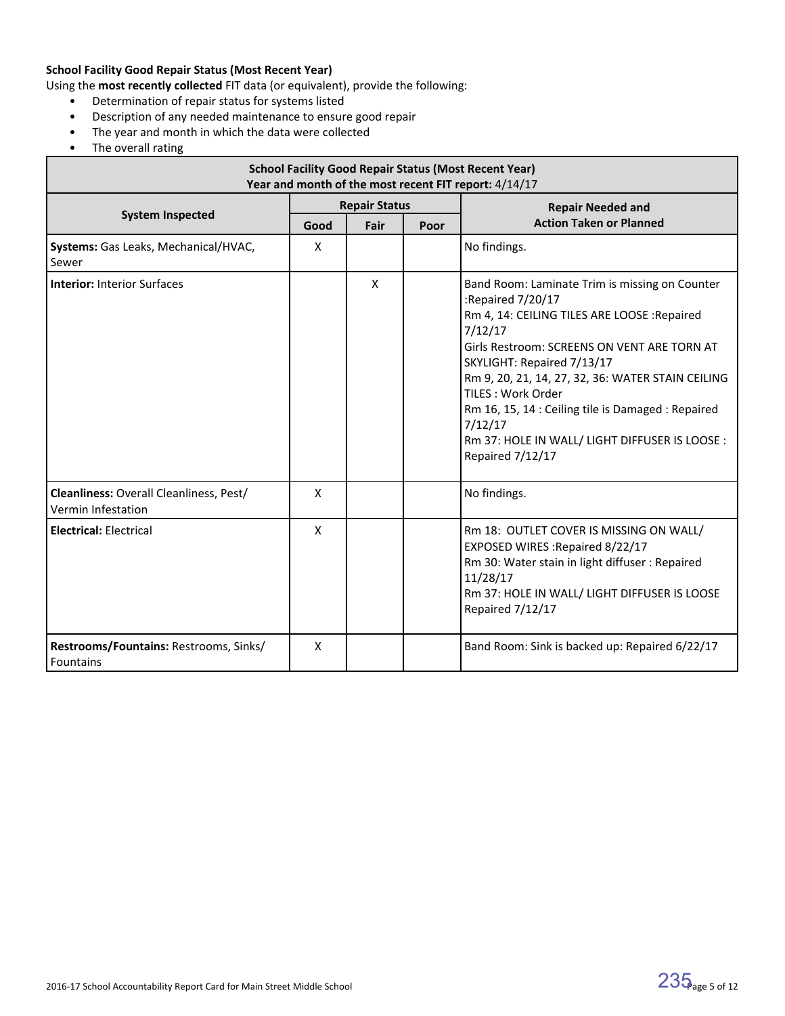### **School Facility Good Repair Status (Most Recent Year)**

Using the **most recently collected** FIT data (or equivalent), provide the following:

- Determination of repair status for systems listed
- Description of any needed maintenance to ensure good repair
- The year and month in which the data were collected
- The overall rating

| <b>School Facility Good Repair Status (Most Recent Year)</b><br>Year and month of the most recent FIT report: 4/14/17 |                           |   |      |                                                                                                                                                                                                                                                                                                                                                                                                                              |  |  |  |
|-----------------------------------------------------------------------------------------------------------------------|---------------------------|---|------|------------------------------------------------------------------------------------------------------------------------------------------------------------------------------------------------------------------------------------------------------------------------------------------------------------------------------------------------------------------------------------------------------------------------------|--|--|--|
|                                                                                                                       | <b>Repair Status</b>      |   |      | <b>Repair Needed and</b>                                                                                                                                                                                                                                                                                                                                                                                                     |  |  |  |
| <b>System Inspected</b>                                                                                               | Good<br>Fair              |   | Poor | <b>Action Taken or Planned</b>                                                                                                                                                                                                                                                                                                                                                                                               |  |  |  |
| Systems: Gas Leaks, Mechanical/HVAC,<br>Sewer                                                                         | $\mathsf{x}$              |   |      | No findings.                                                                                                                                                                                                                                                                                                                                                                                                                 |  |  |  |
| <b>Interior: Interior Surfaces</b>                                                                                    |                           | X |      | Band Room: Laminate Trim is missing on Counter<br>:Repaired 7/20/17<br>Rm 4, 14: CEILING TILES ARE LOOSE : Repaired<br>7/12/17<br>Girls Restroom: SCREENS ON VENT ARE TORN AT<br>SKYLIGHT: Repaired 7/13/17<br>Rm 9, 20, 21, 14, 27, 32, 36: WATER STAIN CEILING<br>TILES: Work Order<br>Rm 16, 15, 14 : Ceiling tile is Damaged : Repaired<br>7/12/17<br>Rm 37: HOLE IN WALL/ LIGHT DIFFUSER IS LOOSE :<br>Repaired 7/12/17 |  |  |  |
| Cleanliness: Overall Cleanliness, Pest/<br>Vermin Infestation                                                         | $\mathsf{x}$              |   |      | No findings.                                                                                                                                                                                                                                                                                                                                                                                                                 |  |  |  |
| <b>Electrical: Electrical</b>                                                                                         | $\boldsymbol{\mathsf{X}}$ |   |      | Rm 18: OUTLET COVER IS MISSING ON WALL/<br>EXPOSED WIRES : Repaired 8/22/17<br>Rm 30: Water stain in light diffuser : Repaired<br>11/28/17<br>Rm 37: HOLE IN WALL/ LIGHT DIFFUSER IS LOOSE<br>Repaired 7/12/17                                                                                                                                                                                                               |  |  |  |
| Restrooms/Fountains: Restrooms, Sinks/<br>Fountains                                                                   | X                         |   |      | Band Room: Sink is backed up: Repaired 6/22/17                                                                                                                                                                                                                                                                                                                                                                               |  |  |  |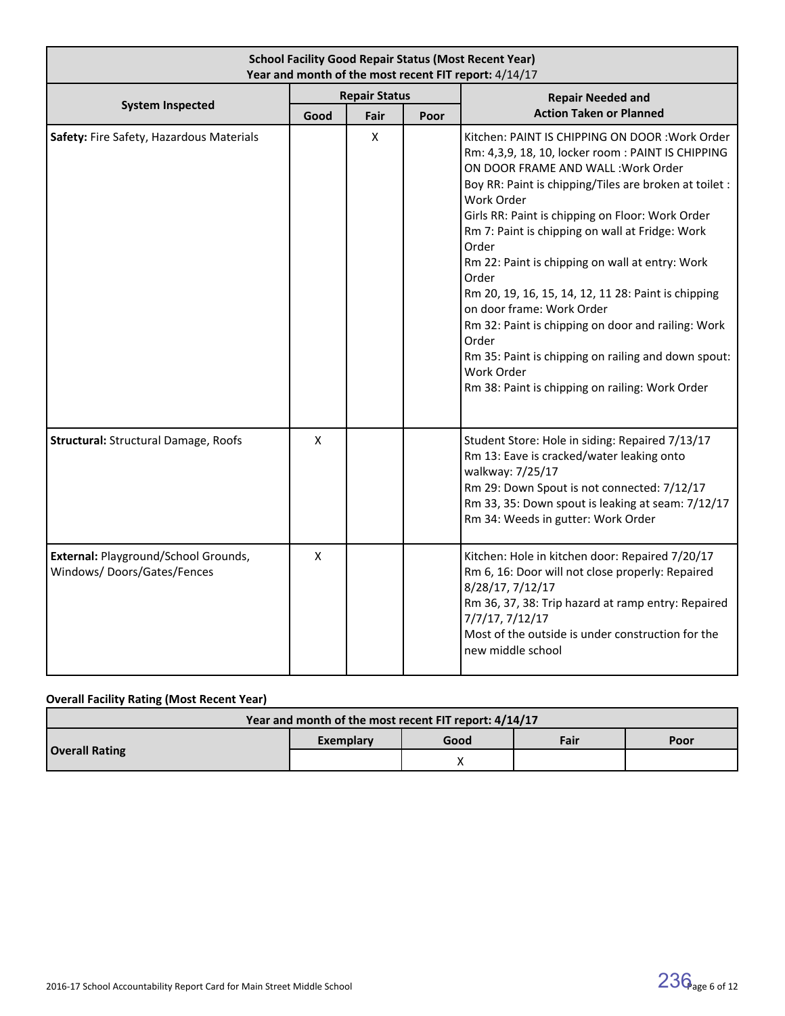| <b>School Facility Good Repair Status (Most Recent Year)</b><br>Year and month of the most recent FIT report: 4/14/17 |                      |              |      |                                                                                                                                                                                                                                                                                                                                                                                                                                                                                                                                                                                                                                                                           |  |  |  |
|-----------------------------------------------------------------------------------------------------------------------|----------------------|--------------|------|---------------------------------------------------------------------------------------------------------------------------------------------------------------------------------------------------------------------------------------------------------------------------------------------------------------------------------------------------------------------------------------------------------------------------------------------------------------------------------------------------------------------------------------------------------------------------------------------------------------------------------------------------------------------------|--|--|--|
| <b>System Inspected</b>                                                                                               | <b>Repair Status</b> |              |      | <b>Repair Needed and</b>                                                                                                                                                                                                                                                                                                                                                                                                                                                                                                                                                                                                                                                  |  |  |  |
|                                                                                                                       | Good                 | Fair         | Poor | <b>Action Taken or Planned</b>                                                                                                                                                                                                                                                                                                                                                                                                                                                                                                                                                                                                                                            |  |  |  |
| Safety: Fire Safety, Hazardous Materials                                                                              |                      | $\mathsf{x}$ |      | Kitchen: PAINT IS CHIPPING ON DOOR : Work Order<br>Rm: 4,3,9, 18, 10, locker room: PAINT IS CHIPPING<br>ON DOOR FRAME AND WALL: Work Order<br>Boy RR: Paint is chipping/Tiles are broken at toilet :<br>Work Order<br>Girls RR: Paint is chipping on Floor: Work Order<br>Rm 7: Paint is chipping on wall at Fridge: Work<br>Order<br>Rm 22: Paint is chipping on wall at entry: Work<br>Order<br>Rm 20, 19, 16, 15, 14, 12, 11 28: Paint is chipping<br>on door frame: Work Order<br>Rm 32: Paint is chipping on door and railing: Work<br>Order<br>Rm 35: Paint is chipping on railing and down spout:<br>Work Order<br>Rm 38: Paint is chipping on railing: Work Order |  |  |  |
| <b>Structural: Structural Damage, Roofs</b>                                                                           | $\mathsf{x}$         |              |      | Student Store: Hole in siding: Repaired 7/13/17<br>Rm 13: Eave is cracked/water leaking onto<br>walkway: 7/25/17<br>Rm 29: Down Spout is not connected: 7/12/17<br>Rm 33, 35: Down spout is leaking at seam: 7/12/17<br>Rm 34: Weeds in gutter: Work Order                                                                                                                                                                                                                                                                                                                                                                                                                |  |  |  |
| External: Playground/School Grounds,<br>Windows/Doors/Gates/Fences                                                    | $\pmb{\times}$       |              |      | Kitchen: Hole in kitchen door: Repaired 7/20/17<br>Rm 6, 16: Door will not close properly: Repaired<br>8/28/17, 7/12/17<br>Rm 36, 37, 38: Trip hazard at ramp entry: Repaired<br>7/7/17, 7/12/17<br>Most of the outside is under construction for the<br>new middle school                                                                                                                                                                                                                                                                                                                                                                                                |  |  |  |

# **Overall Facility Rating (Most Recent Year)**

| Year and month of the most recent FIT report: 4/14/17 |           |      |      |      |  |  |
|-------------------------------------------------------|-----------|------|------|------|--|--|
| <b>Overall Rating</b>                                 | Exemplary | Good | Fair | Poor |  |  |
|                                                       |           |      |      |      |  |  |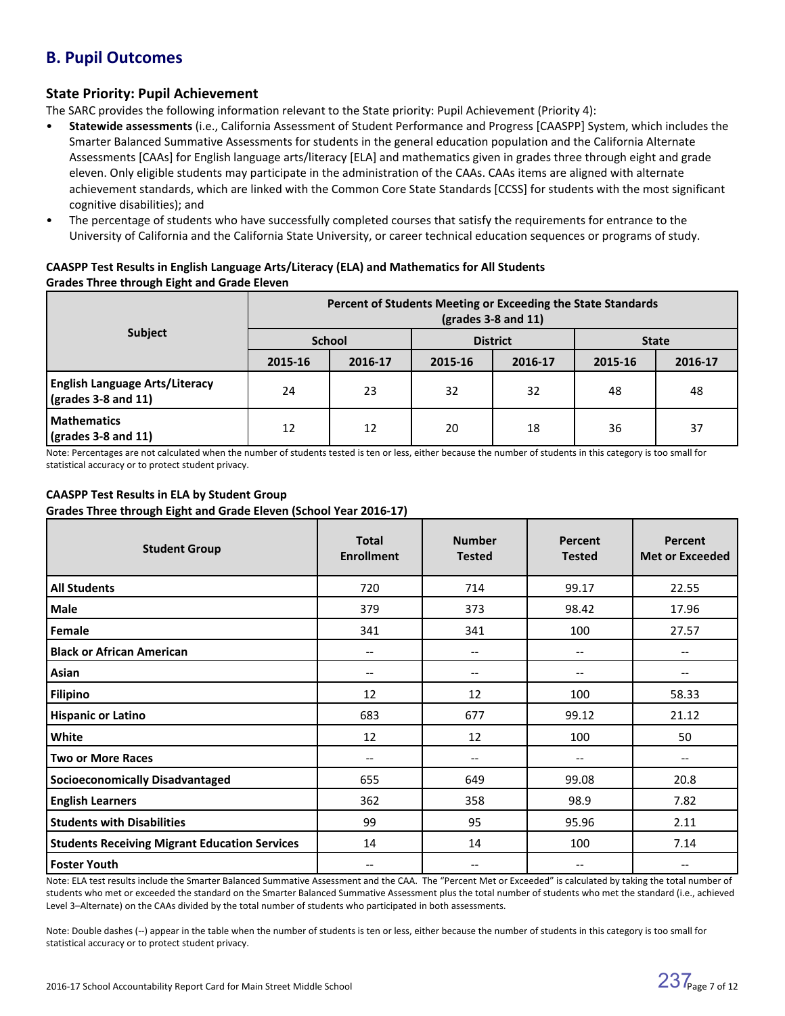# **B. Pupil Outcomes**

### **State Priority: Pupil Achievement**

The SARC provides the following information relevant to the State priority: Pupil Achievement (Priority 4):

- **Statewide assessments** (i.e., California Assessment of Student Performance and Progress [CAASPP] System, which includes the Smarter Balanced Summative Assessments for students in the general education population and the California Alternate Assessments [CAAs] for English language arts/literacy [ELA] and mathematics given in grades three through eight and grade eleven. Only eligible students may participate in the administration of the CAAs. CAAs items are aligned with alternate achievement standards, which are linked with the Common Core State Standards [CCSS] for students with the most significant cognitive disabilities); and
- The percentage of students who have successfully completed courses that satisfy the requirements for entrance to the University of California and the California State University, or career technical education sequences or programs of study.

#### **CAASPP Test Results in English Language Arts/Literacy (ELA) and Mathematics for All Students Grades Three through Eight and Grade Eleven**

|                                                                            | Percent of Students Meeting or Exceeding the State Standards<br>$\left(\text{grades }3 - 8 \text{ and } 11\right)$ |               |         |                 |              |         |  |
|----------------------------------------------------------------------------|--------------------------------------------------------------------------------------------------------------------|---------------|---------|-----------------|--------------|---------|--|
| Subject                                                                    |                                                                                                                    | <b>School</b> |         | <b>District</b> | <b>State</b> |         |  |
|                                                                            | 2015-16                                                                                                            | 2016-17       | 2015-16 | 2016-17         | 2015-16      | 2016-17 |  |
| <b>English Language Arts/Literacy</b><br>$\frac{1}{2}$ (grades 3-8 and 11) | 24                                                                                                                 | 23            | 32      | 32              | 48           | 48      |  |
| <b>Mathematics</b><br>$\sqrt{(grades 3-8 and 11)}$                         | 12                                                                                                                 | 12            | 20      | 18              | 36           | 37      |  |

Note: Percentages are not calculated when the number of students tested is ten or less, either because the number of students in this category is too small for statistical accuracy or to protect student privacy.

#### **CAASPP Test Results in ELA by Student Group Grades Three through Eight and Grade Eleven (School Year 2016-17)**

| <b>Student Group</b>                                 | <b>Total</b><br><b>Enrollment</b>     | <b>Number</b><br><b>Tested</b> | Percent<br><b>Tested</b>            | Percent<br><b>Met or Exceeded</b>     |
|------------------------------------------------------|---------------------------------------|--------------------------------|-------------------------------------|---------------------------------------|
| <b>All Students</b>                                  | 720                                   | 714                            | 99.17                               | 22.55                                 |
| Male                                                 | 379                                   | 373                            | 98.42                               | 17.96                                 |
| Female                                               | 341                                   | 341                            | 100                                 | 27.57                                 |
| <b>Black or African American</b>                     | $\qquad \qquad -$                     | $\qquad \qquad -$              | $\overline{\phantom{m}}$            | $- -$                                 |
| Asian                                                | --                                    | $\qquad \qquad -$              | $\overline{\phantom{a}}$            | $\hspace{0.05cm}$ – $\hspace{0.05cm}$ |
| <b>Filipino</b>                                      | 12                                    | 12                             | 100                                 | 58.33                                 |
| <b>Hispanic or Latino</b>                            | 683                                   | 677                            | 99.12                               | 21.12                                 |
| White                                                | 12                                    | 12                             | 100                                 | 50                                    |
| <b>Two or More Races</b>                             | --                                    | $\qquad \qquad -$              | $\overline{\phantom{a}}$            | $\hspace{0.05cm}$ – $\hspace{0.05cm}$ |
| <b>Socioeconomically Disadvantaged</b>               | 655                                   | 649                            | 99.08                               | 20.8                                  |
| <b>English Learners</b>                              | 362                                   | 358                            | 98.9                                | 7.82                                  |
| <b>Students with Disabilities</b>                    | 99                                    | 95                             | 95.96                               | 2.11                                  |
| <b>Students Receiving Migrant Education Services</b> | 14                                    | 14                             | 100                                 | 7.14                                  |
| <b>Foster Youth</b>                                  | $\hspace{0.05cm}$ – $\hspace{0.05cm}$ | $\qquad \qquad -$              | $\hspace{0.05cm}$ $\hspace{0.05cm}$ | $\hspace{0.05cm}$ – $\hspace{0.05cm}$ |

Note: ELA test results include the Smarter Balanced Summative Assessment and the CAA. The "Percent Met or Exceeded" is calculated by taking the total number of students who met or exceeded the standard on the Smarter Balanced Summative Assessment plus the total number of students who met the standard (i.e., achieved Level 3–Alternate) on the CAAs divided by the total number of students who participated in both assessments.

Note: Double dashes (--) appear in the table when the number of students is ten or less, either because the number of students in this category is too small for statistical accuracy or to protect student privacy.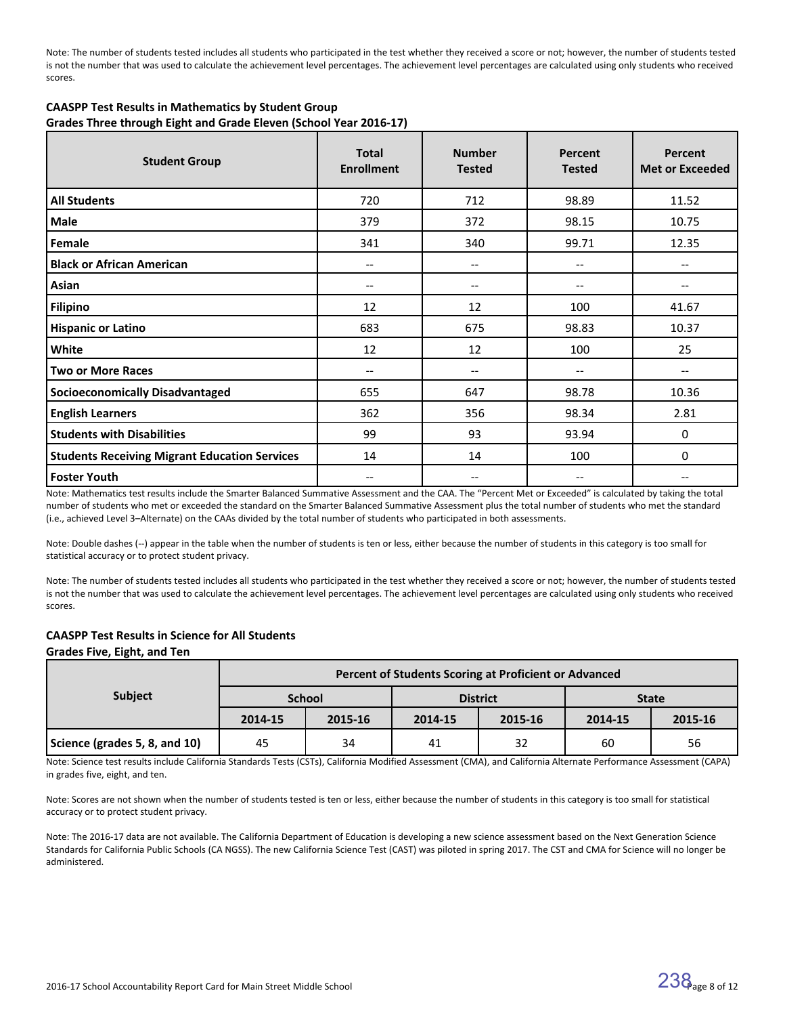Note: The number of students tested includes all students who participated in the test whether they received a score or not; however, the number of students tested is not the number that was used to calculate the achievement level percentages. The achievement level percentages are calculated using only students who received scores.

| <b>CAASPP Test Results in Mathematics by Student Group</b>        |
|-------------------------------------------------------------------|
| Grades Three through Eight and Grade Eleven (School Year 2016-17) |

| <b>Student Group</b>                                 | <b>Total</b><br><b>Enrollment</b> | <b>Number</b><br><b>Tested</b> | Percent<br><b>Tested</b> | Percent<br><b>Met or Exceeded</b> |
|------------------------------------------------------|-----------------------------------|--------------------------------|--------------------------|-----------------------------------|
| <b>All Students</b>                                  | 720                               | 712                            | 98.89                    | 11.52                             |
| Male                                                 | 379                               | 372                            | 98.15                    | 10.75                             |
| Female                                               | 341                               | 340                            | 99.71                    | 12.35                             |
| <b>Black or African American</b>                     | $\overline{\phantom{a}}$          | $--$                           | --                       | --                                |
| Asian                                                | --                                | --                             | --                       | --                                |
| <b>Filipino</b>                                      | 12                                | 12                             | 100                      | 41.67                             |
| <b>Hispanic or Latino</b>                            | 683                               | 675                            | 98.83                    | 10.37                             |
| White                                                | 12                                | 12                             | 100                      | 25                                |
| <b>Two or More Races</b>                             | --                                | --                             | --                       | --                                |
| <b>Socioeconomically Disadvantaged</b>               | 655                               | 647                            | 98.78                    | 10.36                             |
| <b>English Learners</b>                              | 362                               | 356                            | 98.34                    | 2.81                              |
| <b>Students with Disabilities</b>                    | 99                                | 93                             | 93.94                    | 0                                 |
| <b>Students Receiving Migrant Education Services</b> | 14                                | 14                             | 100                      | 0                                 |
| <b>Foster Youth</b>                                  | $-$                               | $\hspace{0.05cm} \ldots$       | --                       | --                                |

Note: Mathematics test results include the Smarter Balanced Summative Assessment and the CAA. The "Percent Met or Exceeded" is calculated by taking the total number of students who met or exceeded the standard on the Smarter Balanced Summative Assessment plus the total number of students who met the standard (i.e., achieved Level 3–Alternate) on the CAAs divided by the total number of students who participated in both assessments.

Note: Double dashes (--) appear in the table when the number of students is ten or less, either because the number of students in this category is too small for statistical accuracy or to protect student privacy.

Note: The number of students tested includes all students who participated in the test whether they received a score or not; however, the number of students tested is not the number that was used to calculate the achievement level percentages. The achievement level percentages are calculated using only students who received scores.

#### **CAASPP Test Results in Science for All Students**

| Grades Five, Eight, and Ten |                           |  |
|-----------------------------|---------------------------|--|
|                             | <b>Percent of Student</b> |  |
| <b>Subject</b>              | School                    |  |

|                               | Percent of Students Scoring at Proficient or Advanced |               |         |                 |              |         |  |  |  |
|-------------------------------|-------------------------------------------------------|---------------|---------|-----------------|--------------|---------|--|--|--|
| <b>Subject</b>                |                                                       | <b>School</b> |         | <b>District</b> | <b>State</b> |         |  |  |  |
|                               | 2014-15                                               | 2015-16       | 2014-15 | 2015-16         | 2014-15      | 2015-16 |  |  |  |
| Science (grades 5, 8, and 10) | 45                                                    | 34            | 41      | 32              | 60           | 56      |  |  |  |

Note: Science test results include California Standards Tests (CSTs), California Modified Assessment (CMA), and California Alternate Performance Assessment (CAPA) in grades five, eight, and ten.

Note: Scores are not shown when the number of students tested is ten or less, either because the number of students in this category is too small for statistical accuracy or to protect student privacy.

Note: The 2016-17 data are not available. The California Department of Education is developing a new science assessment based on the Next Generation Science Standards for California Public Schools (CA NGSS). The new California Science Test (CAST) was piloted in spring 2017. The CST and CMA for Science will no longer be administered.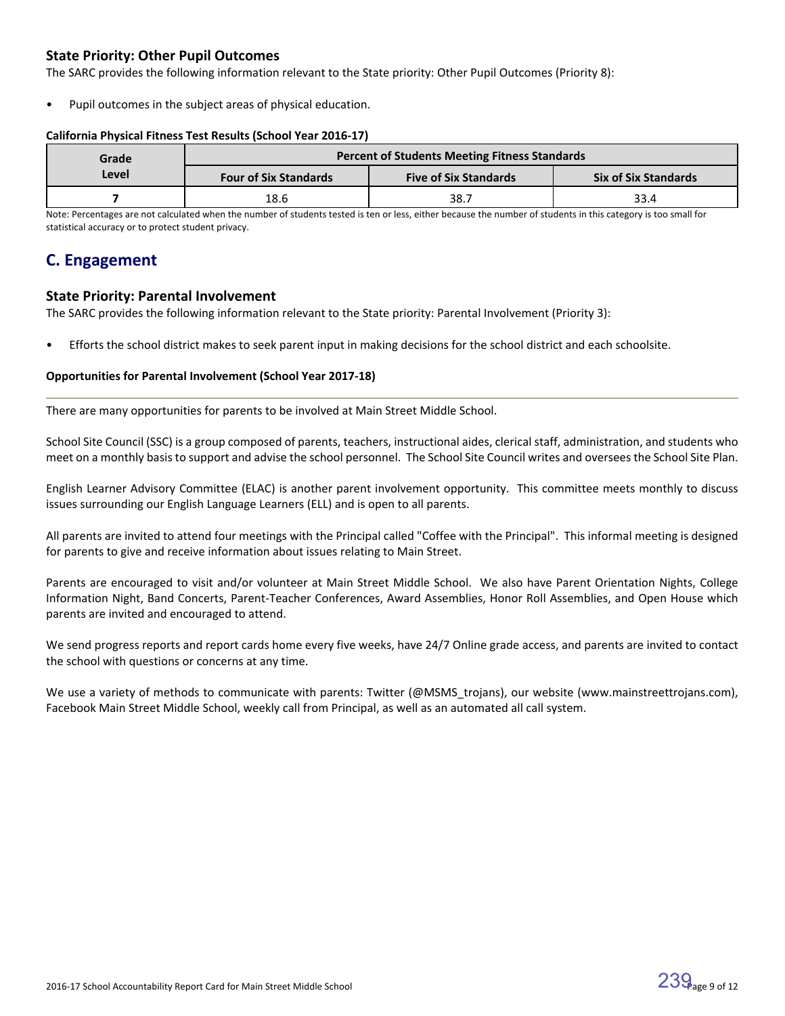### **State Priority: Other Pupil Outcomes**

The SARC provides the following information relevant to the State priority: Other Pupil Outcomes (Priority 8):

Pupil outcomes in the subject areas of physical education.

#### **California Physical Fitness Test Results (School Year 2016-17)**

| Grade                                 | <b>Percent of Students Meeting Fitness Standards</b> |                              |                             |  |  |  |  |
|---------------------------------------|------------------------------------------------------|------------------------------|-----------------------------|--|--|--|--|
| Level<br><b>Four of Six Standards</b> |                                                      | <b>Five of Six Standards</b> | <b>Six of Six Standards</b> |  |  |  |  |
|                                       | 18.6                                                 | 38.7                         | 33.4                        |  |  |  |  |

Note: Percentages are not calculated when the number of students tested is ten or less, either because the number of students in this category is too small for statistical accuracy or to protect student privacy.

# **C. Engagement**

### **State Priority: Parental Involvement**

The SARC provides the following information relevant to the State priority: Parental Involvement (Priority 3):

• Efforts the school district makes to seek parent input in making decisions for the school district and each schoolsite.

#### **Opportunities for Parental Involvement (School Year 2017-18)**

There are many opportunities for parents to be involved at Main Street Middle School.

School Site Council (SSC) is a group composed of parents, teachers, instructional aides, clerical staff, administration, and students who meet on a monthly basis to support and advise the school personnel. The School Site Council writes and oversees the School Site Plan.

English Learner Advisory Committee (ELAC) is another parent involvement opportunity. This committee meets monthly to discuss issues surrounding our English Language Learners (ELL) and is open to all parents.

All parents are invited to attend four meetings with the Principal called "Coffee with the Principal". This informal meeting is designed for parents to give and receive information about issues relating to Main Street.

Parents are encouraged to visit and/or volunteer at Main Street Middle School. We also have Parent Orientation Nights, College Information Night, Band Concerts, Parent-Teacher Conferences, Award Assemblies, Honor Roll Assemblies, and Open House which parents are invited and encouraged to attend.

We send progress reports and report cards home every five weeks, have 24/7 Online grade access, and parents are invited to contact the school with questions or concerns at any time.

We use a variety of methods to communicate with parents: Twitter (@MSMS\_trojans), our website (www.mainstreettrojans.com), Facebook Main Street Middle School, weekly call from Principal, as well as an automated all call system.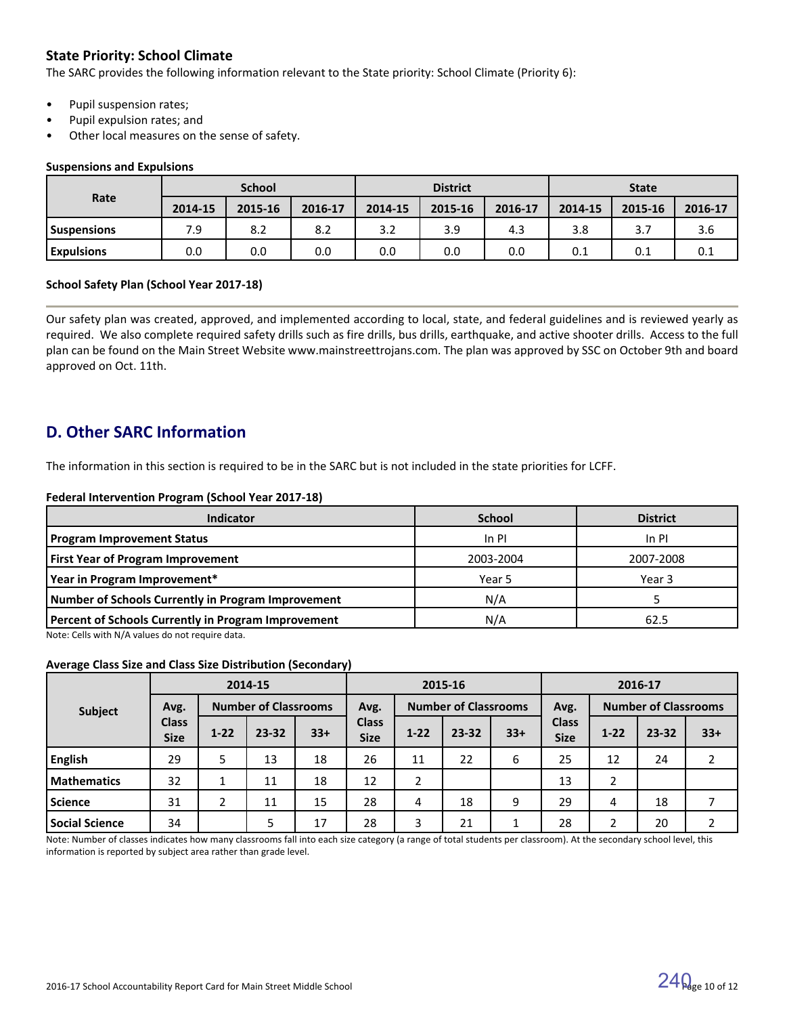## **State Priority: School Climate**

The SARC provides the following information relevant to the State priority: School Climate (Priority 6):

- Pupil suspension rates;
- Pupil expulsion rates; and
- Other local measures on the sense of safety.

#### **Suspensions and Expulsions**

|                   | <b>School</b> |         |         |         | <b>District</b> |         | <b>State</b> |         |         |
|-------------------|---------------|---------|---------|---------|-----------------|---------|--------------|---------|---------|
| Rate              | 2014-15       | 2015-16 | 2016-17 | 2014-15 | 2015-16         | 2016-17 | 2014-15      | 2015-16 | 2016-17 |
| l Suspensions     | 7.9           | 8.2     | 8.2     | 3.2     | 3.9             | 4.3     | 3.8          | 3.7     | 3.6     |
| <b>Expulsions</b> | 0.0           | 0.0     | 0.0     | 0.0     | 0.0             | 0.0     | 0.1          | 0.1     | 0.1     |

#### **School Safety Plan (School Year 2017-18)**

Our safety plan was created, approved, and implemented according to local, state, and federal guidelines and is reviewed yearly as required. We also complete required safety drills such as fire drills, bus drills, earthquake, and active shooter drills. Access to the full plan can be found on the Main Street Website www.mainstreettrojans.com. The plan was approved by SSC on October 9th and board approved on Oct. 11th.

# **D. Other SARC Information**

The information in this section is required to be in the SARC but is not included in the state priorities for LCFF.

#### **Federal Intervention Program (School Year 2017-18)**

| Indicator                                           | <b>School</b> | <b>District</b> |
|-----------------------------------------------------|---------------|-----------------|
| <b>Program Improvement Status</b>                   | $In$ PI       | In PI           |
| <b>First Year of Program Improvement</b>            | 2003-2004     | 2007-2008       |
| Year in Program Improvement*                        | Year 5        | Year 3          |
| Number of Schools Currently in Program Improvement  | N/A           |                 |
| Percent of Schools Currently in Program Improvement | N/A           | 62.5            |

Note: Cells with N/A values do not require data.

#### **Average Class Size and Class Size Distribution (Secondary)**

|                       |                             |               | 2014-15                     |       | 2015-16                     |          |                             |       | 2016-17                     |          |                             |       |
|-----------------------|-----------------------------|---------------|-----------------------------|-------|-----------------------------|----------|-----------------------------|-------|-----------------------------|----------|-----------------------------|-------|
| Subject               | Avg.                        |               | <b>Number of Classrooms</b> |       | Avg.                        |          | <b>Number of Classrooms</b> |       | Avg.                        |          | <b>Number of Classrooms</b> |       |
|                       | <b>Class</b><br><b>Size</b> | $1 - 22$      | 23-32                       | $33+$ | <b>Class</b><br><b>Size</b> | $1 - 22$ | $23 - 32$                   | $33+$ | <b>Class</b><br><b>Size</b> | $1 - 22$ | 23-32                       | $33+$ |
| <b>English</b>        | 29                          |               | 13                          | 18    | 26                          | 11       | 22                          | 6     | 25                          | 12       | 24                          |       |
| <b>Mathematics</b>    | 32                          |               | 11                          | 18    | 12                          | 2        |                             |       | 13                          | 2        |                             |       |
| <b>Science</b>        | 31                          | $\mathcal{D}$ | 11                          | 15    | 28                          | 4        | 18                          | 9     | 29                          | 4        | 18                          |       |
| <b>Social Science</b> | 34                          |               | 5                           | 17    | 28                          | 3        | 21                          |       | 28                          | 2        | 20                          |       |

Note: Number of classes indicates how many classrooms fall into each size category (a range of total students per classroom). At the secondary school level, this information is reported by subject area rather than grade level.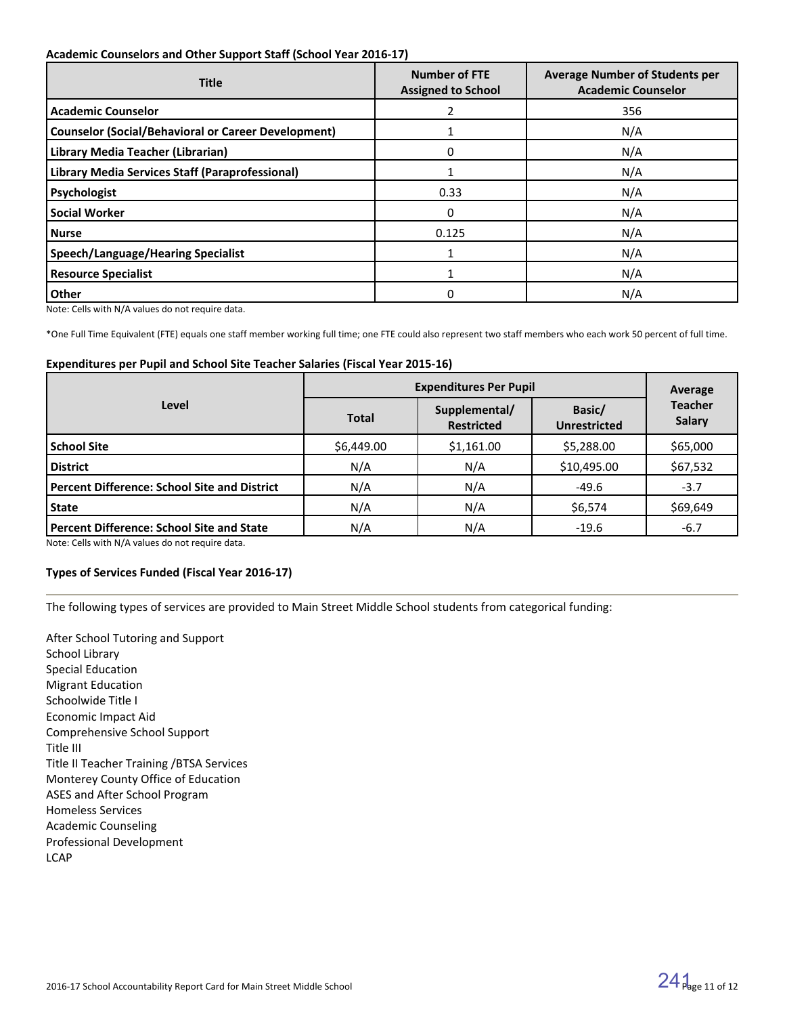#### **Academic Counselors and Other Support Staff (School Year 2016-17)**

| <b>Title</b>                                               | <b>Number of FTE</b><br><b>Assigned to School</b> | <b>Average Number of Students per</b><br><b>Academic Counselor</b> |
|------------------------------------------------------------|---------------------------------------------------|--------------------------------------------------------------------|
| <b>Academic Counselor</b>                                  |                                                   | 356                                                                |
| <b>Counselor (Social/Behavioral or Career Development)</b> |                                                   | N/A                                                                |
| Library Media Teacher (Librarian)                          | 0                                                 | N/A                                                                |
| Library Media Services Staff (Paraprofessional)            |                                                   | N/A                                                                |
| Psychologist                                               | 0.33                                              | N/A                                                                |
| <b>Social Worker</b>                                       | 0                                                 | N/A                                                                |
| l Nurse                                                    | 0.125                                             | N/A                                                                |
| <b>Speech/Language/Hearing Specialist</b>                  |                                                   | N/A                                                                |
| <b>Resource Specialist</b>                                 |                                                   | N/A                                                                |
| <b>Other</b>                                               | 0                                                 | N/A                                                                |

Note: Cells with N/A values do not require data.

\*One Full Time Equivalent (FTE) equals one staff member working full time; one FTE could also represent two staff members who each work 50 percent of full time.

#### **Expenditures per Pupil and School Site Teacher Salaries (Fiscal Year 2015-16)**

|                                                     | <b>Expenditures Per Pupil</b> | Average                            |                               |                          |
|-----------------------------------------------------|-------------------------------|------------------------------------|-------------------------------|--------------------------|
| Level                                               | <b>Total</b>                  | Supplemental/<br><b>Restricted</b> | Basic/<br><b>Unrestricted</b> | <b>Teacher</b><br>Salary |
| <b>School Site</b>                                  | \$6,449.00                    | \$1,161.00                         | \$5,288.00                    | \$65,000                 |
| <b>District</b>                                     | N/A                           | N/A                                | \$10,495.00                   | \$67,532                 |
| <b>Percent Difference: School Site and District</b> | N/A                           | N/A                                | $-49.6$                       | $-3.7$                   |
| <b>State</b>                                        | N/A                           | N/A                                | \$6,574                       | \$69,649                 |
| <b>Percent Difference: School Site and State</b>    | N/A                           | N/A                                | $-19.6$                       | $-6.7$                   |

Note: Cells with N/A values do not require data.

#### **Types of Services Funded (Fiscal Year 2016-17)**

The following types of services are provided to Main Street Middle School students from categorical funding:

After School Tutoring and Support School Library Special Education Migrant Education Schoolwide Title I Economic Impact Aid Comprehensive School Support Title III Title II Teacher Training /BTSA Services Monterey County Office of Education ASES and After School Program Homeless Services Academic Counseling Professional Development **LCAP**